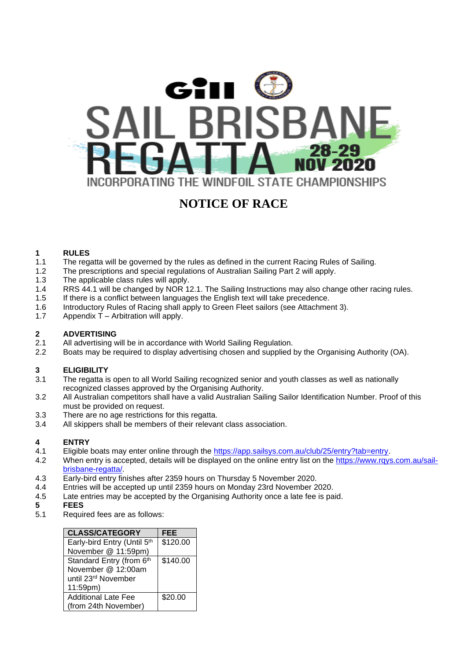

### **NOTICE OF RACE**

## **1 RULES**

- The regatta will be governed by the rules as defined in the current Racing Rules of Sailing.
- 1.2 The prescriptions and special regulations of Australian Sailing Part 2 will apply.<br>1.3 The applicable class rules will apply.
- 1.3 The applicable class rules will apply.<br>1.4 RRS 44.1 will be changed by NOR 1.
- 1.4 RRS 44.1 will be changed by NOR 12.1. The Sailing Instructions may also change other racing rules.<br>1.5 If there is a conflict between languages the English text will take precedence.
- If there is a conflict between languages the English text will take precedence.
- 1.6 Introductory Rules of Racing shall apply to Green Fleet sailors (see Attachment 3).<br>1.7 Appendix T Arbitration will apply.
- Appendix  $\tilde{T}$  Arbitration will apply.

## **2.1 ADVERTISING**<br>2.1 **All advertising w**

- All advertising will be in accordance with World Sailing Regulation.
- 2.2 Boats may be required to display advertising chosen and supplied by the Organising Authority (OA).

#### **3 ELIGIBILITY**

- 3.1 The regatta is open to all World Sailing recognized senior and youth classes as well as nationally recognized classes approved by the Organising Authority.
- 3.2 All Australian competitors shall have a valid Australian Sailing Sailor Identification Number. Proof of this must be provided on request.
- 3.3 There are no age restrictions for this regatta.
- 3.4 All skippers shall be members of their relevant class association.

## **4 ENTRY**

- Eligible boats may enter online through the [https://app.sailsys.com.au/club/25/entry?tab=entry.](https://app.sailsys.com.au/club/25/entry?tab=entry)
- 4.2 When entry is accepted, details will be displayed on the online entry list on the [https://www.rqys.com.au/sail](https://www.rqys.com.au/sail-brisbane-regatta/)[brisbane-regatta/.](https://www.rqys.com.au/sail-brisbane-regatta/)
- 4.3 Early-bird entry finishes after 2359 hours on Thursday 5 November 2020.<br>4.4 Entries will be accepted up until 2359 hours on Monday 23rd November 2
- 4.4 Entries will be accepted up until 2359 hours on Monday 23rd November 2020.<br>4.5 Late entries may be accepted by the Organising Authority once a late fee is pa
- Late entries may be accepted by the Organising Authority once a late fee is paid.
- **5 FEES**
- Required fees are as follows:

| <b>CLASS/CATEGORY</b>           | <b>FEE</b> |
|---------------------------------|------------|
| Early-bird Entry (Until 5th     | \$120.00   |
| November @ 11:59pm)             |            |
| Standard Entry (from 6th        | \$140.00   |
| November @ 12:00am              |            |
| until 23 <sup>rd</sup> November |            |
| 11:59pm)                        |            |
| <b>Additional Late Fee</b>      | \$20.00    |
| (from 24th November)            |            |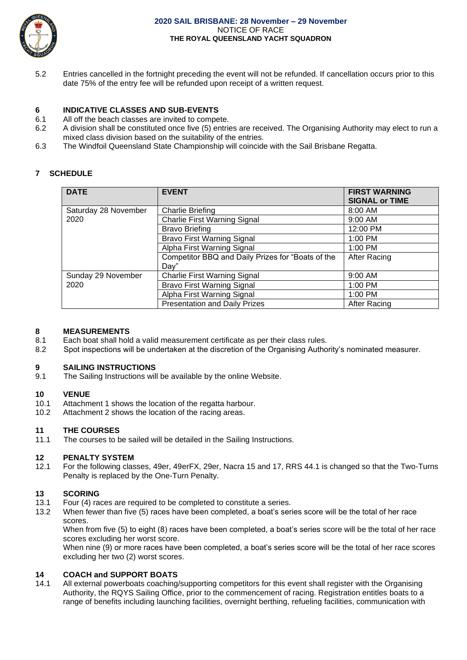

5.2 Entries cancelled in the fortnight preceding the event will not be refunded. If cancellation occurs prior to this date 75% of the entry fee will be refunded upon receipt of a written request.

#### **6 INDICATIVE CLASSES AND SUB-EVENTS**

- 6.1 All off the beach classes are invited to compete.<br>6.2 A division shall be constituted once five (5) entri-
- 6.2 A division shall be constituted once five (5) entries are received. The Organising Authority may elect to run a mixed class division based on the suitability of the entries.
- 6.3 The Windfoil Queensland State Championship will coincide with the Sail Brisbane Regatta.

#### **7 SCHEDULE**

| <b>DATE</b>                  | <b>EVENT</b>                                      | <b>FIRST WARNING</b>  |
|------------------------------|---------------------------------------------------|-----------------------|
|                              |                                                   | <b>SIGNAL or TIME</b> |
| Saturday 28 November<br>2020 | <b>Charlie Briefing</b>                           | $8:00$ AM             |
|                              | Charlie First Warning Signal                      | 9:00 AM               |
|                              | <b>Bravo Briefing</b>                             | 12:00 PM              |
|                              | <b>Bravo First Warning Signal</b>                 | 1:00 PM               |
|                              | Alpha First Warning Signal                        | 1:00 PM               |
|                              | Competitor BBQ and Daily Prizes for "Boats of the | After Racing          |
|                              | Dav"                                              |                       |
| Sunday 29 November<br>2020   | Charlie First Warning Signal                      | 9:00 AM               |
|                              | <b>Bravo First Warning Signal</b>                 | $1:00$ PM             |
|                              | Alpha First Warning Signal                        | 1:00 PM               |
|                              | <b>Presentation and Daily Prizes</b>              | After Racing          |

#### **8 MEASUREMENTS**

- 8.1 Each boat shall hold a valid measurement certificate as per their class rules.
- 8.2 Spot inspections will be undertaken at the discretion of the Organising Authority's nominated measurer.

#### **9 SAILING INSTRUCTIONS**

9.1 The Sailing Instructions will be available by the online Website.

#### **10 VENUE**

- 10.1 Attachment 1 shows the location of the regatta harbour.
- 10.2 Attachment 2 shows the location of the racing areas.

## **11 THE COURSES**

The courses to be sailed will be detailed in the Sailing Instructions.

## **12 PENALTY SYSTEM**

For the following classes, 49er, 49erFX, 29er, Nacra 15 and 17, RRS 44.1 is changed so that the Two-Turns Penalty is replaced by the One-Turn Penalty.

#### **13 SCORING**

- 13.1 Four (4) races are required to be completed to constitute a series.
- 13.2 When fewer than five (5) races have been completed, a boat's series score will be the total of her race scores.

When from five (5) to eight (8) races have been completed, a boat's series score will be the total of her race scores excluding her worst score.

When nine (9) or more races have been completed, a boat's series score will be the total of her race scores excluding her two (2) worst scores.

#### **14 COACH and SUPPORT BOATS**

14.1 All external powerboats coaching/supporting competitors for this event shall register with the Organising Authority, the RQYS Sailing Office, prior to the commencement of racing. Registration entitles boats to a range of benefits including launching facilities, overnight berthing, refueling facilities, communication with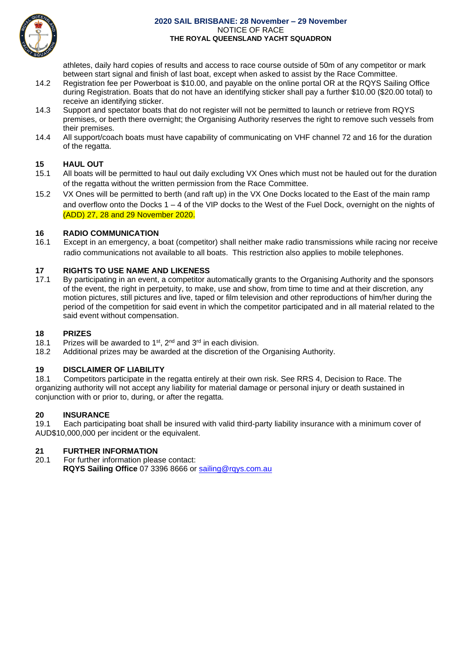

#### **2020 SAIL BRISBANE: 28 November – 29 November** NOTICE OF RACE **THE ROYAL QUEENSLAND YACHT SQUADRON**

athletes, daily hard copies of results and access to race course outside of 50m of any competitor or mark between start signal and finish of last boat, except when asked to assist by the Race Committee.

- 14.2 Registration fee per Powerboat is \$10.00, and payable on the online portal OR at the RQYS Sailing Office during Registration. Boats that do not have an identifying sticker shall pay a further \$10.00 (\$20.00 total) to receive an identifying sticker.
- 14.3 Support and spectator boats that do not register will not be permitted to launch or retrieve from RQYS premises, or berth there overnight; the Organising Authority reserves the right to remove such vessels from their premises.
- 14.4 All support/coach boats must have capability of communicating on VHF channel 72 and 16 for the duration of the regatta.

#### **15 HAUL OUT**

- 15.1 All boats will be permitted to haul out daily excluding VX Ones which must not be hauled out for the duration of the regatta without the written permission from the Race Committee.
- 15.2 VX Ones will be permitted to berth (and raft up) in the VX One Docks located to the East of the main ramp and overflow onto the Docks 1 – 4 of the VIP docks to the West of the Fuel Dock, overnight on the nights of (ADD) 27, 28 and 29 November 2020.

#### **16 RADIO COMMUNICATION**

16.1 Except in an emergency, a boat (competitor) shall neither make radio transmissions while racing nor receive radio communications not available to all boats. This restriction also applies to mobile telephones.

## **17 RIGHTS TO USE NAME AND LIKENESS**<br>17.1 By participating in an event, a competitor a

By participating in an event, a competitor automatically grants to the Organising Authority and the sponsors of the event, the right in perpetuity, to make, use and show, from time to time and at their discretion, any motion pictures, still pictures and live, taped or film television and other reproductions of him/her during the period of the competition for said event in which the competitor participated and in all material related to the said event without compensation.

#### **18 PRIZES**

- 18.1 Prizes will be awarded to  $1<sup>st</sup>$ ,  $2<sup>nd</sup>$  and  $3<sup>rd</sup>$  in each division.
- 18.2 Additional prizes may be awarded at the discretion of the Organising Authority.

#### **19 DISCLAIMER OF LIABILITY**

18.1 Competitors participate in the regatta entirely at their own risk. See RRS 4, Decision to Race. The organizing authority will not accept any liability for material damage or personal injury or death sustained in conjunction with or prior to, during, or after the regatta.

#### **20 INSURANCE**

19.1 Each participating boat shall be insured with valid third-party liability insurance with a minimum cover of AUD\$10,000,000 per incident or the equivalent.

#### **21 FURTHER INFORMATION**

20.1 For further information please contact: **RQYS Sailing Office** 07 3396 8666 or [sailing@rqys.com.au](mailto:sailing@rqys.com.au)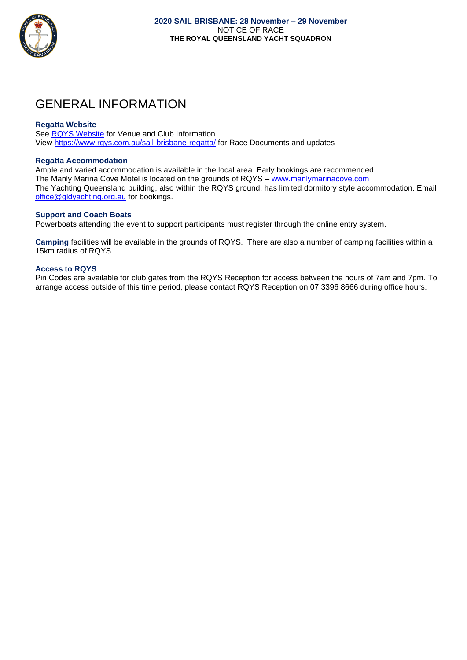

### GENERAL INFORMATION

#### **Regatta Website**

See [RQYS Website](http://www.rqys.com.au/) for Venue and Club Information View<https://www.rqys.com.au/sail-brisbane-regatta/> for Race Documents and updates

#### **Regatta Accommodation**

Ample and varied accommodation is available in the local area. Early bookings are recommended. The Manly Marina Cove Motel is located on the grounds of RQYS – [www.manlymarinacove.com](http://www.manlymarinacove.com/) The Yachting Queensland building, also within the RQYS ground, has limited dormitory style accommodation. Email [office@qldyachting.org.au](mailto:office@qldyachting.org.au) for bookings.

#### **Support and Coach Boats**

Powerboats attending the event to support participants must register through the online entry system.

**Camping** facilities will be available in the grounds of RQYS. There are also a number of camping facilities within a 15km radius of RQYS.

#### **Access to RQYS**

Pin Codes are available for club gates from the RQYS Reception for access between the hours of 7am and 7pm. To arrange access outside of this time period, please contact RQYS Reception on 07 3396 8666 during office hours.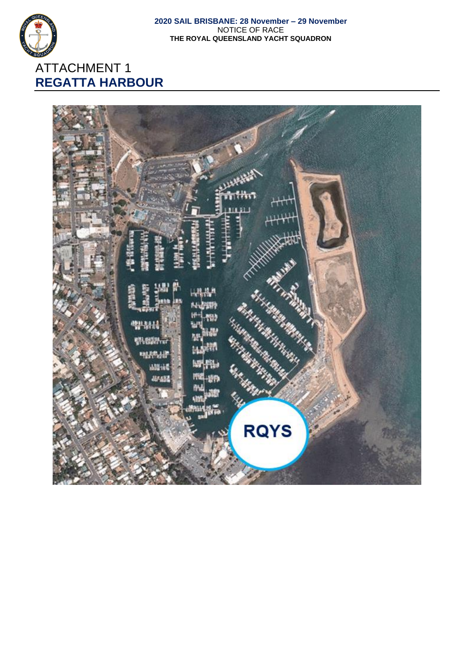

### ATTACHMENT 1 **REGATTA HARBOUR**

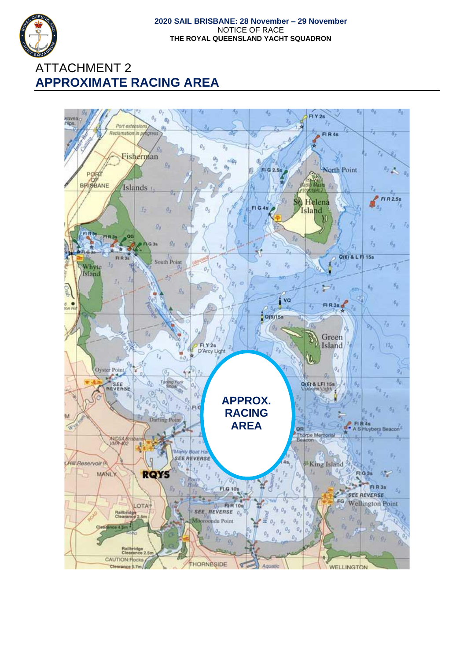

### ATTACHMENT 2 **APPROXIMATE RACING AREA**

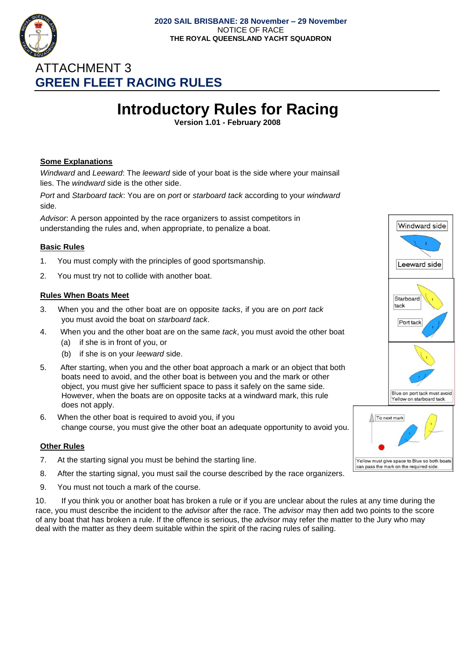

### ATTACHMENT 3 **GREEN FLEET RACING RULES**

# **Introductory Rules for Racing**

**Version 1.01 - February 2008**

#### **Some Explanations**

*Windward* and *Leeward*: The *leeward* side of your boat is the side where your mainsail lies. The *windward* side is the other side.

*Port* and *Starboard tack*: You are on *port* or *starboard tack* according to your *windward*  side.

*Advisor*: A person appointed by the race organizers to assist competitors in understanding the rules and, when appropriate, to penalize a boat.

#### **Basic Rules**

- 1. You must comply with the principles of good sportsmanship.
- 2. You must try not to collide with another boat.

#### **Rules When Boats Meet**

- 3. When you and the other boat are on opposite *tacks*, if you are on *port tack*  you must avoid the boat on *starboard tack*.
- 4. When you and the other boat are on the same *tack*, you must avoid the other boat
	- (a) if she is in front of you, or
	- (b) if she is on your *leeward* side.
- 5. After starting, when you and the other boat approach a mark or an object that both boats need to avoid, and the other boat is between you and the mark or other object, you must give her sufficient space to pass it safely on the same side. However, when the boats are on opposite tacks at a windward mark, this rule does not apply.
- 6. When the other boat is required to avoid you, if you change course, you must give the other boat an adequate opportunity to avoid you.

#### **Other Rules**

- 7. At the starting signal you must be behind the starting line.
- 8. After the starting signal, you must sail the course described by the race organizers.
- 9. You must not touch a mark of the course.

10. If you think you or another boat has broken a rule or if you are unclear about the rules at any time during the race, you must describe the incident to the *advisor* after the race. The *advisor* may then add two points to the score of any boat that has broken a rule. If the offence is serious, the *advisor* may refer the matter to the Jury who may deal with the matter as they deem suitable within the spirit of the racing rules of sailing.